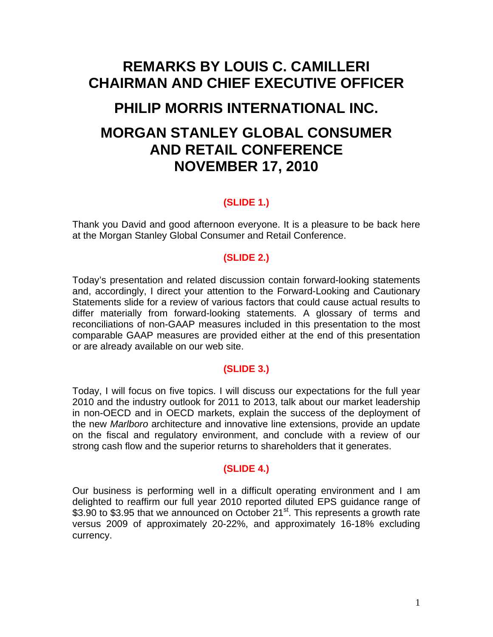# **REMARKS BY LOUIS C. CAMILLERI CHAIRMAN AND CHIEF EXECUTIVE OFFICER**

# **PHILIP MORRIS INTERNATIONAL INC.**

# **MORGAN STANLEY GLOBAL CONSUMER AND RETAIL CONFERENCE NOVEMBER 17, 2010**

# **(SLIDE 1.)**

Thank you David and good afternoon everyone. It is a pleasure to be back here at the Morgan Stanley Global Consumer and Retail Conference.

# **(SLIDE 2.)**

Today's presentation and related discussion contain forward-looking statements and, accordingly, I direct your attention to the Forward-Looking and Cautionary Statements slide for a review of various factors that could cause actual results to differ materially from forward-looking statements. A glossary of terms and reconciliations of non-GAAP measures included in this presentation to the most comparable GAAP measures are provided either at the end of this presentation or are already available on our web site.

## **(SLIDE 3.)**

Today, I will focus on five topics. I will discuss our expectations for the full year 2010 and the industry outlook for 2011 to 2013, talk about our market leadership in non-OECD and in OECD markets, explain the success of the deployment of the new *Marlboro* architecture and innovative line extensions, provide an update on the fiscal and regulatory environment, and conclude with a review of our strong cash flow and the superior returns to shareholders that it generates.

## **(SLIDE 4.)**

Our business is performing well in a difficult operating environment and I am delighted to reaffirm our full year 2010 reported diluted EPS guidance range of \$3.90 to \$3.95 that we announced on October 21<sup>st</sup>. This represents a growth rate versus 2009 of approximately 20-22%, and approximately 16-18% excluding currency.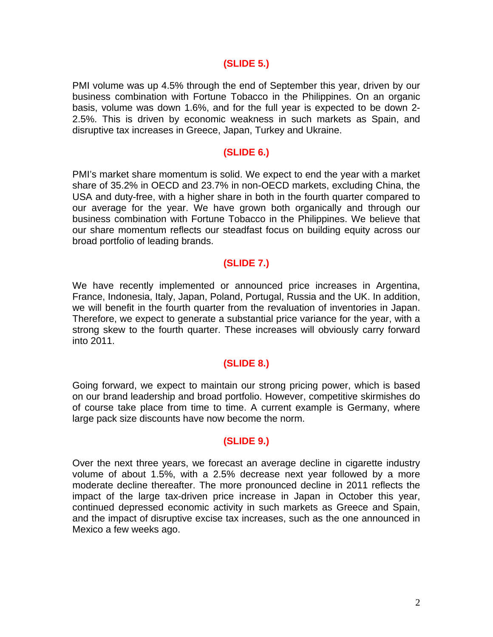#### **(SLIDE 5.)**

PMI volume was up 4.5% through the end of September this year, driven by our business combination with Fortune Tobacco in the Philippines. On an organic basis, volume was down 1.6%, and for the full year is expected to be down 2- 2.5%. This is driven by economic weakness in such markets as Spain, and disruptive tax increases in Greece, Japan, Turkey and Ukraine.

#### **(SLIDE 6.)**

PMI's market share momentum is solid. We expect to end the year with a market share of 35.2% in OECD and 23.7% in non-OECD markets, excluding China, the USA and duty-free, with a higher share in both in the fourth quarter compared to our average for the year. We have grown both organically and through our business combination with Fortune Tobacco in the Philippines. We believe that our share momentum reflects our steadfast focus on building equity across our broad portfolio of leading brands.

## **(SLIDE 7.)**

We have recently implemented or announced price increases in Argentina, France, Indonesia, Italy, Japan, Poland, Portugal, Russia and the UK. In addition, we will benefit in the fourth quarter from the revaluation of inventories in Japan. Therefore, we expect to generate a substantial price variance for the year, with a strong skew to the fourth quarter. These increases will obviously carry forward into 2011.

#### **(SLIDE 8.)**

Going forward, we expect to maintain our strong pricing power, which is based on our brand leadership and broad portfolio. However, competitive skirmishes do of course take place from time to time. A current example is Germany, where large pack size discounts have now become the norm.

## **(SLIDE 9.)**

Over the next three years, we forecast an average decline in cigarette industry volume of about 1.5%, with a 2.5% decrease next year followed by a more moderate decline thereafter. The more pronounced decline in 2011 reflects the impact of the large tax-driven price increase in Japan in October this year, continued depressed economic activity in such markets as Greece and Spain, and the impact of disruptive excise tax increases, such as the one announced in Mexico a few weeks ago.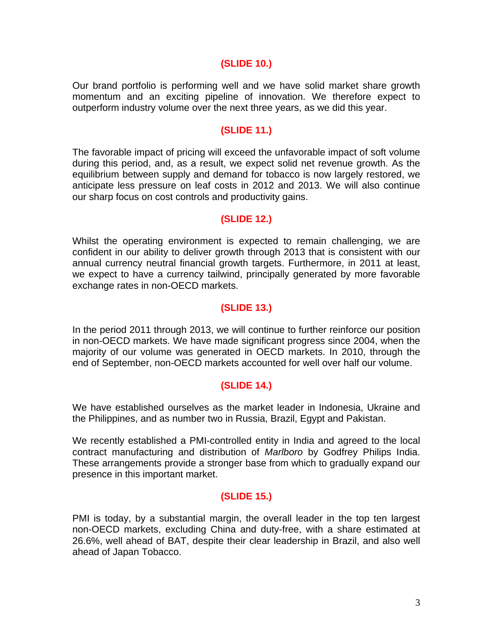#### **(SLIDE 10.)**

Our brand portfolio is performing well and we have solid market share growth momentum and an exciting pipeline of innovation. We therefore expect to outperform industry volume over the next three years, as we did this year.

## **(SLIDE 11.)**

The favorable impact of pricing will exceed the unfavorable impact of soft volume during this period, and, as a result, we expect solid net revenue growth. As the equilibrium between supply and demand for tobacco is now largely restored, we anticipate less pressure on leaf costs in 2012 and 2013. We will also continue our sharp focus on cost controls and productivity gains.

## **(SLIDE 12.)**

Whilst the operating environment is expected to remain challenging, we are confident in our ability to deliver growth through 2013 that is consistent with our annual currency neutral financial growth targets. Furthermore, in 2011 at least, we expect to have a currency tailwind, principally generated by more favorable exchange rates in non-OECD markets.

## **(SLIDE 13.)**

In the period 2011 through 2013, we will continue to further reinforce our position in non-OECD markets. We have made significant progress since 2004, when the majority of our volume was generated in OECD markets. In 2010, through the end of September, non-OECD markets accounted for well over half our volume.

## **(SLIDE 14.)**

We have established ourselves as the market leader in Indonesia, Ukraine and the Philippines, and as number two in Russia, Brazil, Egypt and Pakistan.

We recently established a PMI-controlled entity in India and agreed to the local contract manufacturing and distribution of *Marlboro* by Godfrey Philips India. These arrangements provide a stronger base from which to gradually expand our presence in this important market.

## **(SLIDE 15.)**

PMI is today, by a substantial margin, the overall leader in the top ten largest non-OECD markets, excluding China and duty-free, with a share estimated at 26.6%, well ahead of BAT, despite their clear leadership in Brazil, and also well ahead of Japan Tobacco.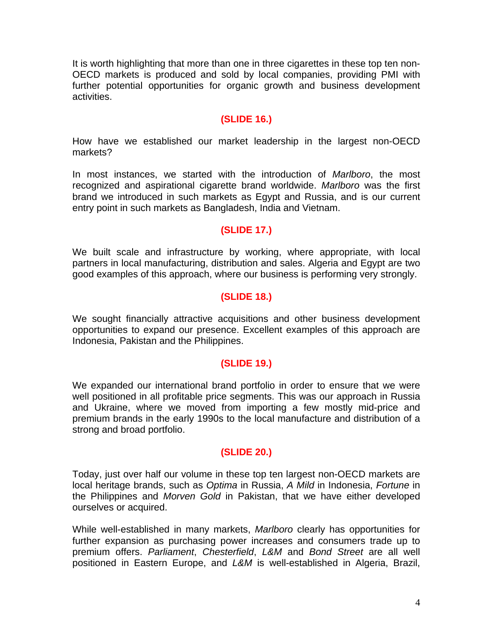It is worth highlighting that more than one in three cigarettes in these top ten non-OECD markets is produced and sold by local companies, providing PMI with further potential opportunities for organic growth and business development activities.

## **(SLIDE 16.)**

How have we established our market leadership in the largest non-OECD markets?

In most instances, we started with the introduction of *Marlboro*, the most recognized and aspirational cigarette brand worldwide. *Marlboro* was the first brand we introduced in such markets as Egypt and Russia, and is our current entry point in such markets as Bangladesh, India and Vietnam.

## **(SLIDE 17.)**

We built scale and infrastructure by working, where appropriate, with local partners in local manufacturing, distribution and sales. Algeria and Egypt are two good examples of this approach, where our business is performing very strongly.

# **(SLIDE 18.)**

We sought financially attractive acquisitions and other business development opportunities to expand our presence. Excellent examples of this approach are Indonesia, Pakistan and the Philippines.

## **(SLIDE 19.)**

We expanded our international brand portfolio in order to ensure that we were well positioned in all profitable price segments. This was our approach in Russia and Ukraine, where we moved from importing a few mostly mid-price and premium brands in the early 1990s to the local manufacture and distribution of a strong and broad portfolio.

## **(SLIDE 20.)**

Today, just over half our volume in these top ten largest non-OECD markets are local heritage brands, such as *Optima* in Russia, *A Mild* in Indonesia, *Fortune* in the Philippines and *Morven Gold* in Pakistan, that we have either developed ourselves or acquired.

While well-established in many markets, *Marlboro* clearly has opportunities for further expansion as purchasing power increases and consumers trade up to premium offers. *Parliament*, *Chesterfield*, *L&M* and *Bond Street* are all well positioned in Eastern Europe, and *L&M* is well-established in Algeria, Brazil,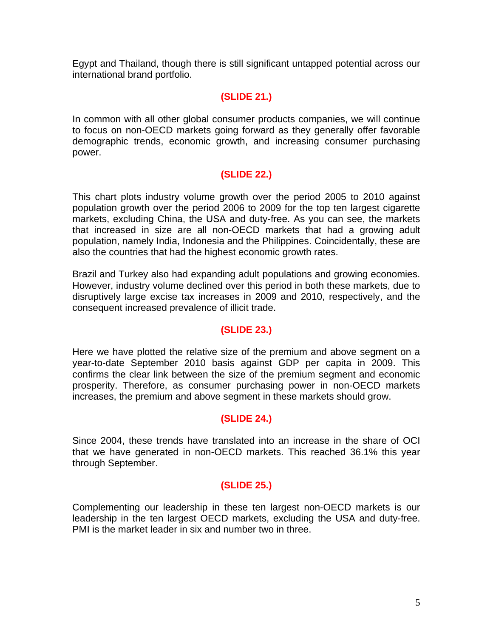Egypt and Thailand, though there is still significant untapped potential across our international brand portfolio.

# **(SLIDE 21.)**

In common with all other global consumer products companies, we will continue to focus on non-OECD markets going forward as they generally offer favorable demographic trends, economic growth, and increasing consumer purchasing power.

# **(SLIDE 22.)**

This chart plots industry volume growth over the period 2005 to 2010 against population growth over the period 2006 to 2009 for the top ten largest cigarette markets, excluding China, the USA and duty-free. As you can see, the markets that increased in size are all non-OECD markets that had a growing adult population, namely India, Indonesia and the Philippines. Coincidentally, these are also the countries that had the highest economic growth rates.

Brazil and Turkey also had expanding adult populations and growing economies. However, industry volume declined over this period in both these markets, due to disruptively large excise tax increases in 2009 and 2010, respectively, and the consequent increased prevalence of illicit trade.

## **(SLIDE 23.)**

Here we have plotted the relative size of the premium and above segment on a year-to-date September 2010 basis against GDP per capita in 2009. This confirms the clear link between the size of the premium segment and economic prosperity. Therefore, as consumer purchasing power in non-OECD markets increases, the premium and above segment in these markets should grow.

## **(SLIDE 24.)**

Since 2004, these trends have translated into an increase in the share of OCI that we have generated in non-OECD markets. This reached 36.1% this year through September.

## **(SLIDE 25.)**

Complementing our leadership in these ten largest non-OECD markets is our leadership in the ten largest OECD markets, excluding the USA and duty-free. PMI is the market leader in six and number two in three.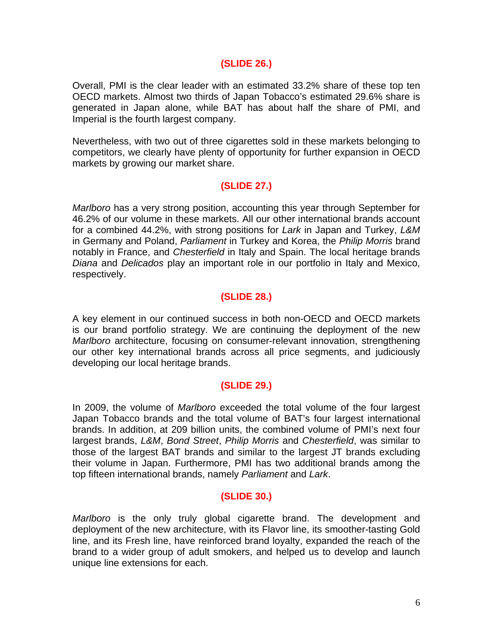#### **(SLIDE 26.)**

Overall, PMI is the clear leader with an estimated 33.2% share of these top ten OECD markets. Almost two thirds of Japan Tobacco's estimated 29.6% share is generated in Japan alone, while BAT has about half the share of PMI, and Imperial is the fourth largest company.

Nevertheless, with two out of three cigarettes sold in these markets belonging to competitors, we clearly have plenty of opportunity for further expansion in OECD markets by growing our market share.

## **(SLIDE 27.)**

*Marlboro* has a very strong position, accounting this year through September for 46.2% of our volume in these markets. All our other international brands account for a combined 44.2%, with strong positions for *Lark* in Japan and Turkey, *L&M* in Germany and Poland, *Parliament* in Turkey and Korea, the *Philip Morris* brand notably in France, and *Chesterfield* in Italy and Spain. The local heritage brands *Diana* and *Delicados* play an important role in our portfolio in Italy and Mexico, respectively.

# **(SLIDE 28.)**

A key element in our continued success in both non-OECD and OECD markets is our brand portfolio strategy. We are continuing the deployment of the new *Marlboro* architecture, focusing on consumer-relevant innovation, strengthening our other key international brands across all price segments, and judiciously developing our local heritage brands.

## **(SLIDE 29.)**

In 2009, the volume of *Marlboro* exceeded the total volume of the four largest Japan Tobacco brands and the total volume of BAT's four largest international brands. In addition, at 209 billion units, the combined volume of PMI's next four largest brands, *L&M*, *Bond Street*, *Philip Morris* and *Chesterfield*, was similar to those of the largest BAT brands and similar to the largest JT brands excluding their volume in Japan. Furthermore, PMI has two additional brands among the top fifteen international brands, namely *Parliament* and *Lark*.

## **(SLIDE 30.)**

*Marlboro* is the only truly global cigarette brand. The development and deployment of the new architecture, with its Flavor line, its smoother-tasting Gold line, and its Fresh line, have reinforced brand loyalty, expanded the reach of the brand to a wider group of adult smokers, and helped us to develop and launch unique line extensions for each.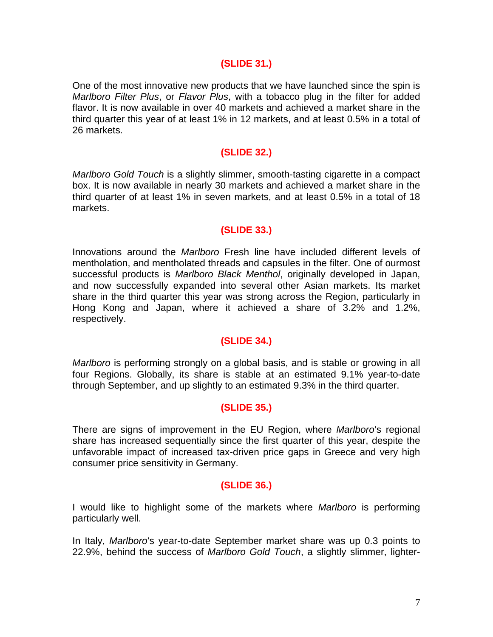#### **(SLIDE 31.)**

One of the most innovative new products that we have launched since the spin is *Marlboro Filter Plus*, or *Flavor Plus*, with a tobacco plug in the filter for added flavor. It is now available in over 40 markets and achieved a market share in the third quarter this year of at least 1% in 12 markets, and at least 0.5% in a total of 26 markets.

## **(SLIDE 32.)**

*Marlboro Gold Touch* is a slightly slimmer, smooth-tasting cigarette in a compact box. It is now available in nearly 30 markets and achieved a market share in the third quarter of at least 1% in seven markets, and at least 0.5% in a total of 18 markets.

## **(SLIDE 33.)**

Innovations around the *Marlboro* Fresh line have included different levels of mentholation, and mentholated threads and capsules in the filter. One of ourmost successful products is *Marlboro Black Menthol*, originally developed in Japan, and now successfully expanded into several other Asian markets. Its market share in the third quarter this year was strong across the Region, particularly in Hong Kong and Japan, where it achieved a share of 3.2% and 1.2%, respectively.

## **(SLIDE 34.)**

*Marlboro* is performing strongly on a global basis, and is stable or growing in all four Regions. Globally, its share is stable at an estimated 9.1% year-to-date through September, and up slightly to an estimated 9.3% in the third quarter.

## **(SLIDE 35.)**

There are signs of improvement in the EU Region, where *Marlboro*'s regional share has increased sequentially since the first quarter of this year, despite the unfavorable impact of increased tax-driven price gaps in Greece and very high consumer price sensitivity in Germany.

#### **(SLIDE 36.)**

I would like to highlight some of the markets where *Marlboro* is performing particularly well.

In Italy, *Marlboro*'s year-to-date September market share was up 0.3 points to 22.9%, behind the success of *Marlboro Gold Touch*, a slightly slimmer, lighter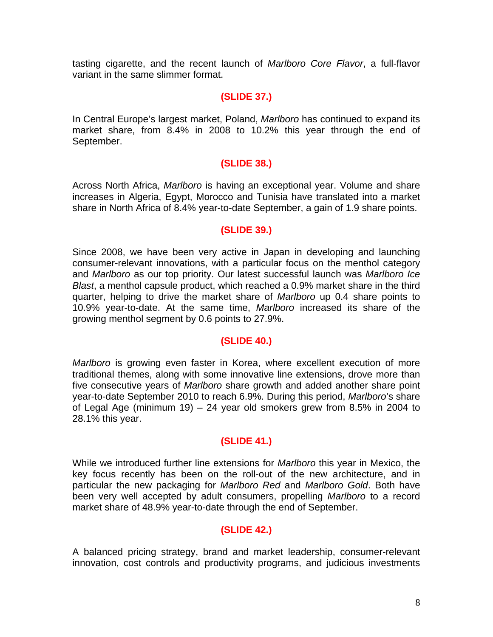tasting cigarette, and the recent launch of *Marlboro Core Flavor*, a full-flavor variant in the same slimmer format.

#### **(SLIDE 37.)**

In Central Europe's largest market, Poland, *Marlboro* has continued to expand its market share, from 8.4% in 2008 to 10.2% this year through the end of September.

# **(SLIDE 38.)**

Across North Africa, *Marlboro* is having an exceptional year. Volume and share increases in Algeria, Egypt, Morocco and Tunisia have translated into a market share in North Africa of 8.4% year-to-date September, a gain of 1.9 share points.

## **(SLIDE 39.)**

Since 2008, we have been very active in Japan in developing and launching consumer-relevant innovations, with a particular focus on the menthol category and *Marlboro* as our top priority. Our latest successful launch was *Marlboro Ice Blast*, a menthol capsule product, which reached a 0.9% market share in the third quarter, helping to drive the market share of *Marlboro* up 0.4 share points to 10.9% year-to-date. At the same time, *Marlboro* increased its share of the growing menthol segment by 0.6 points to 27.9%.

## **(SLIDE 40.)**

*Marlboro* is growing even faster in Korea, where excellent execution of more traditional themes, along with some innovative line extensions, drove more than five consecutive years of *Marlboro* share growth and added another share point year-to-date September 2010 to reach 6.9%. During this period, *Marlboro*'s share of Legal Age (minimum 19) – 24 year old smokers grew from 8.5% in 2004 to 28.1% this year.

## **(SLIDE 41.)**

While we introduced further line extensions for *Marlboro* this year in Mexico, the key focus recently has been on the roll-out of the new architecture, and in particular the new packaging for *Marlboro Red* and *Marlboro Gold*. Both have been very well accepted by adult consumers, propelling *Marlboro* to a record market share of 48.9% year-to-date through the end of September.

## **(SLIDE 42.)**

A balanced pricing strategy, brand and market leadership, consumer-relevant innovation, cost controls and productivity programs, and judicious investments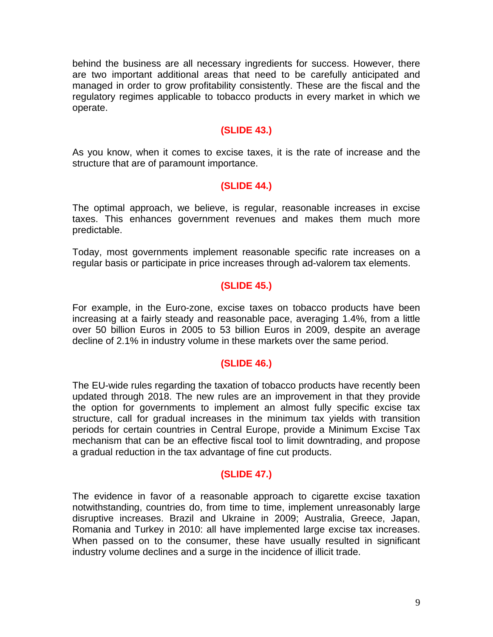behind the business are all necessary ingredients for success. However, there are two important additional areas that need to be carefully anticipated and managed in order to grow profitability consistently. These are the fiscal and the regulatory regimes applicable to tobacco products in every market in which we operate.

## **(SLIDE 43.)**

As you know, when it comes to excise taxes, it is the rate of increase and the structure that are of paramount importance.

#### **(SLIDE 44.)**

The optimal approach, we believe, is regular, reasonable increases in excise taxes. This enhances government revenues and makes them much more predictable.

Today, most governments implement reasonable specific rate increases on a regular basis or participate in price increases through ad-valorem tax elements.

## **(SLIDE 45.)**

For example, in the Euro-zone, excise taxes on tobacco products have been increasing at a fairly steady and reasonable pace, averaging 1.4%, from a little over 50 billion Euros in 2005 to 53 billion Euros in 2009, despite an average decline of 2.1% in industry volume in these markets over the same period.

#### **(SLIDE 46.)**

The EU-wide rules regarding the taxation of tobacco products have recently been updated through 2018. The new rules are an improvement in that they provide the option for governments to implement an almost fully specific excise tax structure, call for gradual increases in the minimum tax yields with transition periods for certain countries in Central Europe, provide a Minimum Excise Tax mechanism that can be an effective fiscal tool to limit downtrading, and propose a gradual reduction in the tax advantage of fine cut products.

#### **(SLIDE 47.)**

The evidence in favor of a reasonable approach to cigarette excise taxation notwithstanding, countries do, from time to time, implement unreasonably large disruptive increases. Brazil and Ukraine in 2009; Australia, Greece, Japan, Romania and Turkey in 2010: all have implemented large excise tax increases. When passed on to the consumer, these have usually resulted in significant industry volume declines and a surge in the incidence of illicit trade.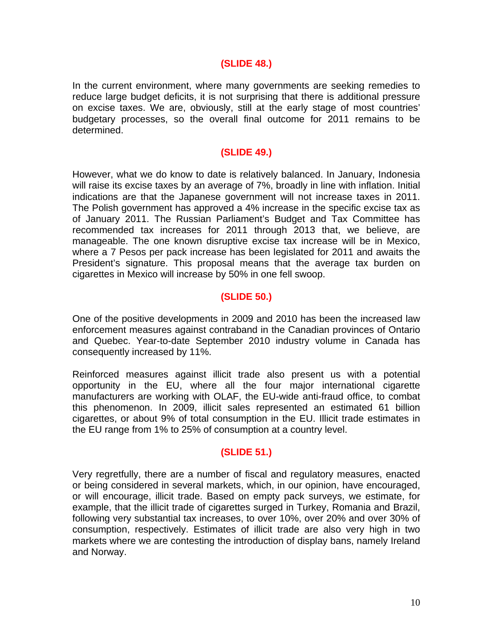#### **(SLIDE 48.)**

In the current environment, where many governments are seeking remedies to reduce large budget deficits, it is not surprising that there is additional pressure on excise taxes. We are, obviously, still at the early stage of most countries' budgetary processes, so the overall final outcome for 2011 remains to be determined.

#### **(SLIDE 49.)**

However, what we do know to date is relatively balanced. In January, Indonesia will raise its excise taxes by an average of 7%, broadly in line with inflation. Initial indications are that the Japanese government will not increase taxes in 2011. The Polish government has approved a 4% increase in the specific excise tax as of January 2011. The Russian Parliament's Budget and Tax Committee has recommended tax increases for 2011 through 2013 that, we believe, are manageable. The one known disruptive excise tax increase will be in Mexico, where a 7 Pesos per pack increase has been legislated for 2011 and awaits the President's signature. This proposal means that the average tax burden on cigarettes in Mexico will increase by 50% in one fell swoop.

## **(SLIDE 50.)**

One of the positive developments in 2009 and 2010 has been the increased law enforcement measures against contraband in the Canadian provinces of Ontario and Quebec. Year-to-date September 2010 industry volume in Canada has consequently increased by 11%.

Reinforced measures against illicit trade also present us with a potential opportunity in the EU, where all the four major international cigarette manufacturers are working with OLAF, the EU-wide anti-fraud office, to combat this phenomenon. In 2009, illicit sales represented an estimated 61 billion cigarettes, or about 9% of total consumption in the EU. Illicit trade estimates in the EU range from 1% to 25% of consumption at a country level.

#### **(SLIDE 51.)**

Very regretfully, there are a number of fiscal and regulatory measures, enacted or being considered in several markets, which, in our opinion, have encouraged, or will encourage, illicit trade. Based on empty pack surveys, we estimate, for example, that the illicit trade of cigarettes surged in Turkey, Romania and Brazil, following very substantial tax increases, to over 10%, over 20% and over 30% of consumption, respectively. Estimates of illicit trade are also very high in two markets where we are contesting the introduction of display bans, namely Ireland and Norway.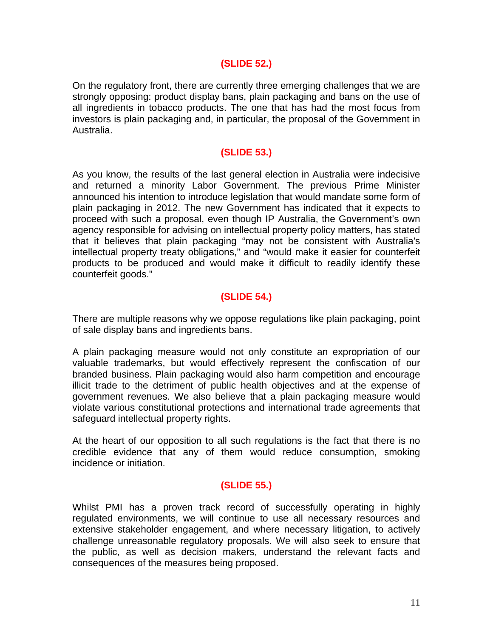#### **(SLIDE 52.)**

On the regulatory front, there are currently three emerging challenges that we are strongly opposing: product display bans, plain packaging and bans on the use of all ingredients in tobacco products. The one that has had the most focus from investors is plain packaging and, in particular, the proposal of the Government in Australia.

## **(SLIDE 53.)**

As you know, the results of the last general election in Australia were indecisive and returned a minority Labor Government. The previous Prime Minister announced his intention to introduce legislation that would mandate some form of plain packaging in 2012. The new Government has indicated that it expects to proceed with such a proposal, even though IP Australia, the Government's own agency responsible for advising on intellectual property policy matters, has stated that it believes that plain packaging "may not be consistent with Australia's intellectual property treaty obligations," and "would make it easier for counterfeit products to be produced and would make it difficult to readily identify these counterfeit goods."

# **(SLIDE 54.)**

There are multiple reasons why we oppose regulations like plain packaging, point of sale display bans and ingredients bans.

A plain packaging measure would not only constitute an expropriation of our valuable trademarks, but would effectively represent the confiscation of our branded business. Plain packaging would also harm competition and encourage illicit trade to the detriment of public health objectives and at the expense of government revenues. We also believe that a plain packaging measure would violate various constitutional protections and international trade agreements that safeguard intellectual property rights.

At the heart of our opposition to all such regulations is the fact that there is no credible evidence that any of them would reduce consumption, smoking incidence or initiation.

## **(SLIDE 55.)**

Whilst PMI has a proven track record of successfully operating in highly regulated environments, we will continue to use all necessary resources and extensive stakeholder engagement, and where necessary litigation, to actively challenge unreasonable regulatory proposals. We will also seek to ensure that the public, as well as decision makers, understand the relevant facts and consequences of the measures being proposed.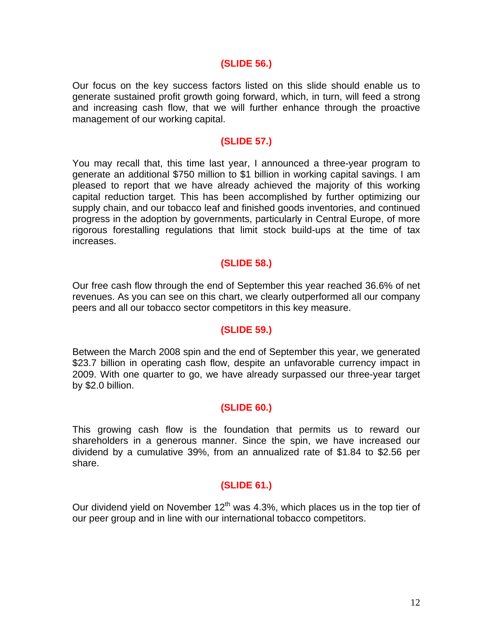#### **(SLIDE 56.)**

Our focus on the key success factors listed on this slide should enable us to generate sustained profit growth going forward, which, in turn, will feed a strong and increasing cash flow, that we will further enhance through the proactive management of our working capital.

#### **(SLIDE 57.)**

You may recall that, this time last year, I announced a three-year program to generate an additional \$750 million to \$1 billion in working capital savings. I am pleased to report that we have already achieved the majority of this working capital reduction target. This has been accomplished by further optimizing our supply chain, and our tobacco leaf and finished goods inventories, and continued progress in the adoption by governments, particularly in Central Europe, of more rigorous forestalling regulations that limit stock build-ups at the time of tax increases.

#### **(SLIDE 58.)**

Our free cash flow through the end of September this year reached 36.6% of net revenues. As you can see on this chart, we clearly outperformed all our company peers and all our tobacco sector competitors in this key measure.

#### **(SLIDE 59.)**

Between the March 2008 spin and the end of September this year, we generated \$23.7 billion in operating cash flow, despite an unfavorable currency impact in 2009. With one quarter to go, we have already surpassed our three-year target by \$2.0 billion.

#### **(SLIDE 60.)**

This growing cash flow is the foundation that permits us to reward our shareholders in a generous manner. Since the spin, we have increased our dividend by a cumulative 39%, from an annualized rate of \$1.84 to \$2.56 per share.

#### **(SLIDE 61.)**

Our dividend yield on November  $12<sup>th</sup>$  was 4.3%, which places us in the top tier of our peer group and in line with our international tobacco competitors.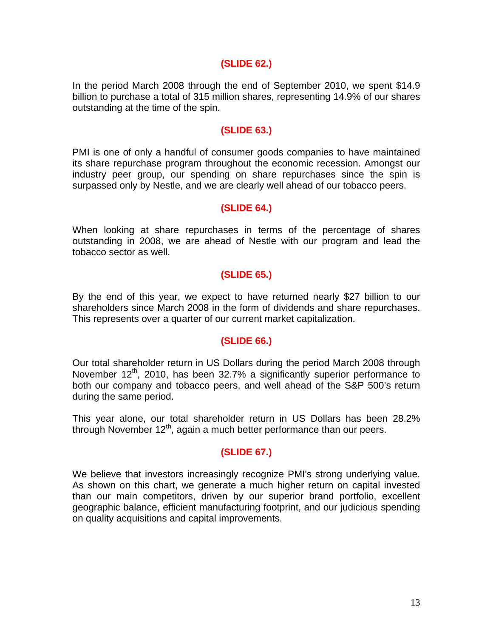#### **(SLIDE 62.)**

In the period March 2008 through the end of September 2010, we spent \$14.9 billion to purchase a total of 315 million shares, representing 14.9% of our shares outstanding at the time of the spin.

#### **(SLIDE 63.)**

PMI is one of only a handful of consumer goods companies to have maintained its share repurchase program throughout the economic recession. Amongst our industry peer group, our spending on share repurchases since the spin is surpassed only by Nestle, and we are clearly well ahead of our tobacco peers.

#### **(SLIDE 64.)**

When looking at share repurchases in terms of the percentage of shares outstanding in 2008, we are ahead of Nestle with our program and lead the tobacco sector as well.

#### **(SLIDE 65.)**

By the end of this year, we expect to have returned nearly \$27 billion to our shareholders since March 2008 in the form of dividends and share repurchases. This represents over a quarter of our current market capitalization.

#### **(SLIDE 66.)**

Our total shareholder return in US Dollars during the period March 2008 through November  $12<sup>th</sup>$ , 2010, has been 32.7% a significantly superior performance to both our company and tobacco peers, and well ahead of the S&P 500's return during the same period.

This year alone, our total shareholder return in US Dollars has been 28.2% through November  $12<sup>th</sup>$ , again a much better performance than our peers.

#### **(SLIDE 67.)**

We believe that investors increasingly recognize PMI's strong underlying value. As shown on this chart, we generate a much higher return on capital invested than our main competitors, driven by our superior brand portfolio, excellent geographic balance, efficient manufacturing footprint, and our judicious spending on quality acquisitions and capital improvements.